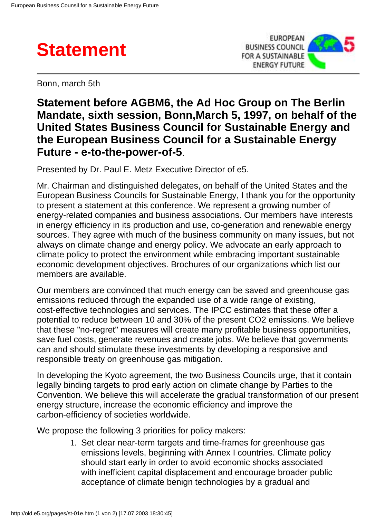



Bonn, march 5th

## **Statement before AGBM6, the Ad Hoc Group on The Berlin Mandate, sixth session, Bonn,March 5, 1997, on behalf of the United States Business Council for Sustainable Energy and the European Business Council for a Sustainable Energy Future - e-to-the-power-of-5**.

Presented by Dr. Paul E. Metz Executive Director of e5.

Mr. Chairman and distinguished delegates, on behalf of the United States and the European Business Councils for Sustainable Energy, I thank you for the opportunity to present a statement at this conference. We represent a growing number of energy-related companies and business associations. Our members have interests in energy efficiency in its production and use, co-generation and renewable energy sources. They agree with much of the business community on many issues, but not always on climate change and energy policy. We advocate an early approach to climate policy to protect the environment while embracing important sustainable economic development objectives. Brochures of our organizations which list our members are available.

Our members are convinced that much energy can be saved and greenhouse gas emissions reduced through the expanded use of a wide range of existing, cost-effective technologies and services. The IPCC estimates that these offer a potential to reduce between 10 and 30% of the present CO2 emissions. We believe that these "no-regret" measures will create many profitable business opportunities, save fuel costs, generate revenues and create jobs. We believe that governments can and should stimulate these investments by developing a responsive and responsible treaty on greenhouse gas mitigation.

In developing the Kyoto agreement, the two Business Councils urge, that it contain legally binding targets to prod early action on climate change by Parties to the Convention. We believe this will accelerate the gradual transformation of our present energy structure, increase the economic efficiency and improve the carbon-efficiency of societies worldwide.

We propose the following 3 priorities for policy makers:

1. Set clear near-term targets and time-frames for greenhouse gas emissions levels, beginning with Annex I countries. Climate policy should start early in order to avoid economic shocks associated with inefficient capital displacement and encourage broader public acceptance of climate benign technologies by a gradual and